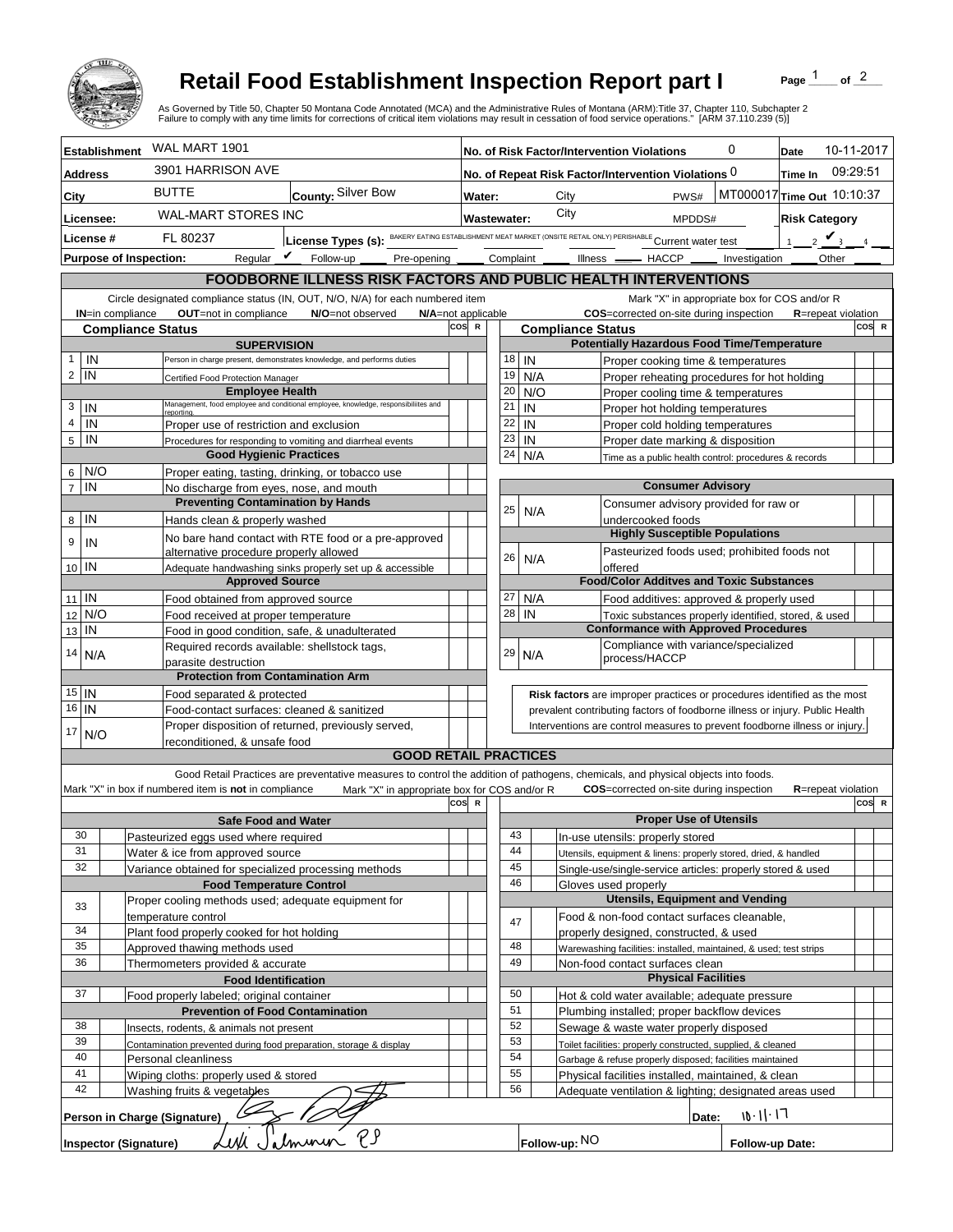

## **Retail Food Establishment Inspection Report part I**

Page  $\frac{1}{1}$  of  $\frac{2}{1}$ 

|                                                                                                                                                                              |                                                                                            |                                                                                                                           | <b>Retail Food Establishment Inspection Report part I</b><br>As Governed by Title 50, Chapter 50 Montana Code Annotated (MCA) and the Administrative Rules of Montana (ARM):Title 37, Chapter 110, Subchapter 2<br>Failure to comply with any time limits for corrections of critical item violations may result in cessation of food service operations." [ARM 37.110.239 (5)] |     |                                                     |                                                                              |                                                                                                                           |                                                                            |                                                                                                              |                               | Page                                         | of $2$ |       |
|------------------------------------------------------------------------------------------------------------------------------------------------------------------------------|--------------------------------------------------------------------------------------------|---------------------------------------------------------------------------------------------------------------------------|---------------------------------------------------------------------------------------------------------------------------------------------------------------------------------------------------------------------------------------------------------------------------------------------------------------------------------------------------------------------------------|-----|-----------------------------------------------------|------------------------------------------------------------------------------|---------------------------------------------------------------------------------------------------------------------------|----------------------------------------------------------------------------|--------------------------------------------------------------------------------------------------------------|-------------------------------|----------------------------------------------|--------|-------|
|                                                                                                                                                                              | <b>Establishment</b>                                                                       | WAL MART 1901                                                                                                             |                                                                                                                                                                                                                                                                                                                                                                                 |     | 0<br>No. of Risk Factor/Intervention Violations     |                                                                              |                                                                                                                           |                                                                            |                                                                                                              | Date                          | 10-11-2017                                   |        |       |
| <b>Address</b>                                                                                                                                                               | 3901 HARRISON AVE                                                                          |                                                                                                                           |                                                                                                                                                                                                                                                                                                                                                                                 |     | No. of Repeat Risk Factor/Intervention Violations 0 |                                                                              |                                                                                                                           |                                                                            |                                                                                                              | Time In                       | 09:29:51                                     |        |       |
| City                                                                                                                                                                         |                                                                                            | <b>BUTTE</b><br>County: Silver Bow                                                                                        |                                                                                                                                                                                                                                                                                                                                                                                 |     | Water:                                              |                                                                              |                                                                                                                           | City                                                                       |                                                                                                              |                               | MT000017 Time Out 10:10:37                   |        |       |
|                                                                                                                                                                              |                                                                                            | <b>WAL-MART STORES INC</b>                                                                                                |                                                                                                                                                                                                                                                                                                                                                                                 |     |                                                     |                                                                              |                                                                                                                           | City                                                                       | PWS#<br><b>Risk Category</b>                                                                                 |                               |                                              |        |       |
| Licensee:<br>License #                                                                                                                                                       |                                                                                            | License Types (s): BAKERY EATING ESTABLISHMENT MEAT MARKET (ONSITE RETAIL ONLY) PERISHABLE Current water test<br>FL 80237 |                                                                                                                                                                                                                                                                                                                                                                                 |     | <b>Wastewater:</b>                                  |                                                                              |                                                                                                                           |                                                                            | MPDDS#                                                                                                       |                               |                                              |        |       |
|                                                                                                                                                                              | <b>Purpose of Inspection:</b>                                                              | Regular $\mathbf{\nu}$<br>Follow-up<br>Pre-opening                                                                        |                                                                                                                                                                                                                                                                                                                                                                                 |     |                                                     | Complaint                                                                    |                                                                                                                           | $Ilness$ $-$                                                               | $-$ HACCP $-$                                                                                                |                               | $2\mathbf{V}_{3}$<br>1 <sup>1</sup><br>Other |        |       |
|                                                                                                                                                                              |                                                                                            |                                                                                                                           |                                                                                                                                                                                                                                                                                                                                                                                 |     |                                                     |                                                                              |                                                                                                                           |                                                                            |                                                                                                              | Investigation                 |                                              |        |       |
|                                                                                                                                                                              |                                                                                            |                                                                                                                           | <b>FOODBORNE ILLNESS RISK FACTORS AND PUBLIC HEALTH INTERVENTIONS</b>                                                                                                                                                                                                                                                                                                           |     |                                                     |                                                                              |                                                                                                                           |                                                                            |                                                                                                              |                               | Mark "X" in appropriate box for COS and/or R |        |       |
| Circle designated compliance status (IN, OUT, N/O, N/A) for each numbered item<br>OUT=not in compliance<br><b>IN=in compliance</b><br>N/O=not observed<br>N/A=not applicable |                                                                                            |                                                                                                                           |                                                                                                                                                                                                                                                                                                                                                                                 |     |                                                     |                                                                              |                                                                                                                           |                                                                            | COS=corrected on-site during inspection                                                                      |                               | <b>R</b> =repeat violation                   |        |       |
| cos<br>$\mathbb{R}$<br><b>Compliance Status</b>                                                                                                                              |                                                                                            |                                                                                                                           |                                                                                                                                                                                                                                                                                                                                                                                 |     |                                                     |                                                                              | COS R<br><b>Compliance Status</b>                                                                                         |                                                                            |                                                                                                              |                               |                                              |        |       |
|                                                                                                                                                                              |                                                                                            | <b>SUPERVISION</b><br>Person in charge present, demonstrates knowledge, and performs duties                               |                                                                                                                                                                                                                                                                                                                                                                                 |     |                                                     |                                                                              |                                                                                                                           |                                                                            | <b>Potentially Hazardous Food Time/Temperature</b>                                                           |                               |                                              |        |       |
| IN<br>$\mathbf{1}$<br>$\overline{2}$<br>IN                                                                                                                                   |                                                                                            |                                                                                                                           |                                                                                                                                                                                                                                                                                                                                                                                 |     |                                                     | 18<br>19                                                                     | IN<br>N/A                                                                                                                 |                                                                            | Proper cooking time & temperatures<br>Proper reheating procedures for hot holding                            |                               |                                              |        |       |
|                                                                                                                                                                              |                                                                                            | Certified Food Protection Manager<br><b>Employee Health</b>                                                               |                                                                                                                                                                                                                                                                                                                                                                                 |     |                                                     | 20                                                                           | N/O                                                                                                                       |                                                                            | Proper cooling time & temperatures                                                                           |                               |                                              |        |       |
| 3<br>IN                                                                                                                                                                      |                                                                                            | reportina.                                                                                                                | Management, food employee and conditional employee, knowledge, responsibiliites and                                                                                                                                                                                                                                                                                             |     |                                                     | 21                                                                           | IN                                                                                                                        |                                                                            | Proper hot holding temperatures                                                                              |                               |                                              |        |       |
| $\overline{4}$<br>IN                                                                                                                                                         |                                                                                            | Proper use of restriction and exclusion                                                                                   |                                                                                                                                                                                                                                                                                                                                                                                 |     |                                                     | 22                                                                           | IN                                                                                                                        |                                                                            | Proper cold holding temperatures                                                                             |                               |                                              |        |       |
| $\,$ 5 $\,$<br>IN                                                                                                                                                            |                                                                                            | Procedures for responding to vomiting and diarrheal events                                                                |                                                                                                                                                                                                                                                                                                                                                                                 |     |                                                     | 23                                                                           | IN                                                                                                                        |                                                                            | Proper date marking & disposition                                                                            |                               |                                              |        |       |
| N/O                                                                                                                                                                          |                                                                                            | <b>Good Hygienic Practices</b><br>Proper eating, tasting, drinking, or tobacco use                                        |                                                                                                                                                                                                                                                                                                                                                                                 |     |                                                     | 24                                                                           | N/A                                                                                                                       |                                                                            | Time as a public health control: procedures & records                                                        |                               |                                              |        |       |
| 6 <sup>1</sup><br>$\overline{7}$<br>IN                                                                                                                                       |                                                                                            | No discharge from eyes, nose, and mouth                                                                                   |                                                                                                                                                                                                                                                                                                                                                                                 |     |                                                     |                                                                              |                                                                                                                           |                                                                            |                                                                                                              | <b>Consumer Advisory</b>      |                                              |        |       |
|                                                                                                                                                                              |                                                                                            | <b>Preventing Contamination by Hands</b>                                                                                  |                                                                                                                                                                                                                                                                                                                                                                                 |     |                                                     | 25                                                                           |                                                                                                                           |                                                                            | Consumer advisory provided for raw or                                                                        |                               |                                              |        |       |
| IN<br>8                                                                                                                                                                      |                                                                                            | Hands clean & properly washed                                                                                             |                                                                                                                                                                                                                                                                                                                                                                                 |     |                                                     |                                                                              | N/A                                                                                                                       |                                                                            | undercooked foods                                                                                            |                               |                                              |        |       |
| 9<br>IN                                                                                                                                                                      |                                                                                            |                                                                                                                           | No bare hand contact with RTE food or a pre-approved                                                                                                                                                                                                                                                                                                                            |     |                                                     |                                                                              |                                                                                                                           |                                                                            | <b>Highly Susceptible Populations</b>                                                                        |                               |                                              |        |       |
| 10 IN                                                                                                                                                                        |                                                                                            | alternative procedure properly allowed                                                                                    | Adequate handwashing sinks properly set up & accessible                                                                                                                                                                                                                                                                                                                         |     |                                                     | 26                                                                           | N/A                                                                                                                       |                                                                            | Pasteurized foods used; prohibited foods not<br>offered                                                      |                               |                                              |        |       |
|                                                                                                                                                                              |                                                                                            | <b>Approved Source</b>                                                                                                    |                                                                                                                                                                                                                                                                                                                                                                                 |     |                                                     |                                                                              |                                                                                                                           |                                                                            | <b>Food/Color Additves and Toxic Substances</b>                                                              |                               |                                              |        |       |
| $11$ IN                                                                                                                                                                      |                                                                                            | Food obtained from approved source                                                                                        |                                                                                                                                                                                                                                                                                                                                                                                 |     |                                                     | 27                                                                           | N/A                                                                                                                       |                                                                            | Food additives: approved & properly used                                                                     |                               |                                              |        |       |
| N/O<br>12                                                                                                                                                                    |                                                                                            | Food received at proper temperature                                                                                       |                                                                                                                                                                                                                                                                                                                                                                                 |     |                                                     | 28                                                                           | IN                                                                                                                        |                                                                            | Toxic substances properly identified, stored, & used                                                         |                               |                                              |        |       |
| IN<br>13                                                                                                                                                                     |                                                                                            | Food in good condition, safe, & unadulterated                                                                             |                                                                                                                                                                                                                                                                                                                                                                                 |     |                                                     |                                                                              |                                                                                                                           |                                                                            | <b>Conformance with Approved Procedures</b>                                                                  |                               |                                              |        |       |
| 14<br>N/A                                                                                                                                                                    |                                                                                            | Required records available: shellstock tags,<br>parasite destruction                                                      |                                                                                                                                                                                                                                                                                                                                                                                 |     |                                                     | 29                                                                           | N/A                                                                                                                       |                                                                            | Compliance with variance/specialized<br>process/HACCP                                                        |                               |                                              |        |       |
|                                                                                                                                                                              |                                                                                            | <b>Protection from Contamination Arm</b>                                                                                  |                                                                                                                                                                                                                                                                                                                                                                                 |     |                                                     |                                                                              |                                                                                                                           |                                                                            |                                                                                                              |                               |                                              |        |       |
| $15$ IN                                                                                                                                                                      |                                                                                            | Food separated & protected                                                                                                |                                                                                                                                                                                                                                                                                                                                                                                 |     |                                                     |                                                                              |                                                                                                                           |                                                                            | Risk factors are improper practices or procedures identified as the most                                     |                               |                                              |        |       |
| $\overline{16}$ IN                                                                                                                                                           | Food-contact surfaces: cleaned & sanitized                                                 |                                                                                                                           |                                                                                                                                                                                                                                                                                                                                                                                 |     |                                                     | prevalent contributing factors of foodborne illness or injury. Public Health |                                                                                                                           |                                                                            |                                                                                                              |                               |                                              |        |       |
| 17<br>N/O                                                                                                                                                                    |                                                                                            | Proper disposition of returned, previously served,                                                                        |                                                                                                                                                                                                                                                                                                                                                                                 |     |                                                     |                                                                              |                                                                                                                           | Interventions are control measures to prevent foodborne illness or injury. |                                                                                                              |                               |                                              |        |       |
|                                                                                                                                                                              |                                                                                            | reconditioned. & unsafe food                                                                                              | <b>GOOD RETAIL PRACTICES</b>                                                                                                                                                                                                                                                                                                                                                    |     |                                                     |                                                                              |                                                                                                                           |                                                                            |                                                                                                              |                               |                                              |        |       |
|                                                                                                                                                                              |                                                                                            |                                                                                                                           | Good Retail Practices are preventative measures to control the addition of pathogens, chemicals, and physical objects into foods.                                                                                                                                                                                                                                               |     |                                                     |                                                                              |                                                                                                                           |                                                                            |                                                                                                              |                               |                                              |        |       |
|                                                                                                                                                                              |                                                                                            | Mark "X" in box if numbered item is not in compliance                                                                     | Mark "X" in appropriate box for COS and/or R                                                                                                                                                                                                                                                                                                                                    |     |                                                     |                                                                              |                                                                                                                           |                                                                            | <b>COS</b> =corrected on-site during inspection                                                              |                               | <b>R</b> =repeat violation                   |        |       |
|                                                                                                                                                                              |                                                                                            |                                                                                                                           |                                                                                                                                                                                                                                                                                                                                                                                 | cos | $\mathbf R$                                         |                                                                              |                                                                                                                           |                                                                            |                                                                                                              |                               |                                              |        | COS R |
| 30                                                                                                                                                                           |                                                                                            | <b>Safe Food and Water</b><br>Pasteurized eggs used where required                                                        |                                                                                                                                                                                                                                                                                                                                                                                 |     |                                                     | 43                                                                           |                                                                                                                           |                                                                            | In-use utensils: properly stored                                                                             | <b>Proper Use of Utensils</b> |                                              |        |       |
| 31                                                                                                                                                                           |                                                                                            | Water & ice from approved source                                                                                          |                                                                                                                                                                                                                                                                                                                                                                                 |     |                                                     | 44                                                                           |                                                                                                                           |                                                                            | Utensils, equipment & linens: properly stored, dried, & handled                                              |                               |                                              |        |       |
| 32                                                                                                                                                                           |                                                                                            | Variance obtained for specialized processing methods                                                                      |                                                                                                                                                                                                                                                                                                                                                                                 |     |                                                     | 45                                                                           |                                                                                                                           |                                                                            | Single-use/single-service articles: properly stored & used                                                   |                               |                                              |        |       |
|                                                                                                                                                                              |                                                                                            | <b>Food Temperature Control</b>                                                                                           |                                                                                                                                                                                                                                                                                                                                                                                 |     |                                                     | 46                                                                           |                                                                                                                           |                                                                            | Gloves used properly                                                                                         |                               |                                              |        |       |
| 33                                                                                                                                                                           |                                                                                            | Proper cooling methods used; adequate equipment for                                                                       |                                                                                                                                                                                                                                                                                                                                                                                 |     |                                                     |                                                                              |                                                                                                                           |                                                                            | <b>Utensils, Equipment and Vending</b>                                                                       |                               |                                              |        |       |
|                                                                                                                                                                              |                                                                                            | temperature control                                                                                                       |                                                                                                                                                                                                                                                                                                                                                                                 |     |                                                     | 47                                                                           |                                                                                                                           |                                                                            | Food & non-food contact surfaces cleanable,                                                                  |                               |                                              |        |       |
| 34<br>35                                                                                                                                                                     |                                                                                            | Plant food properly cooked for hot holding<br>Approved thawing methods used                                               |                                                                                                                                                                                                                                                                                                                                                                                 |     |                                                     | 48                                                                           |                                                                                                                           |                                                                            | properly designed, constructed, & used<br>Warewashing facilities: installed, maintained, & used; test strips |                               |                                              |        |       |
| 36                                                                                                                                                                           |                                                                                            | Thermometers provided & accurate                                                                                          |                                                                                                                                                                                                                                                                                                                                                                                 |     |                                                     | 49                                                                           |                                                                                                                           |                                                                            | Non-food contact surfaces clean                                                                              |                               |                                              |        |       |
|                                                                                                                                                                              |                                                                                            | <b>Food Identification</b>                                                                                                |                                                                                                                                                                                                                                                                                                                                                                                 |     |                                                     |                                                                              |                                                                                                                           |                                                                            |                                                                                                              | <b>Physical Facilities</b>    |                                              |        |       |
| 37<br>Food properly labeled; original container                                                                                                                              |                                                                                            |                                                                                                                           |                                                                                                                                                                                                                                                                                                                                                                                 |     |                                                     |                                                                              |                                                                                                                           |                                                                            | Hot & cold water available; adequate pressure                                                                |                               |                                              |        |       |
|                                                                                                                                                                              |                                                                                            | <b>Prevention of Food Contamination</b>                                                                                   |                                                                                                                                                                                                                                                                                                                                                                                 |     |                                                     | 51                                                                           |                                                                                                                           |                                                                            | Plumbing installed; proper backflow devices                                                                  |                               |                                              |        |       |
| 38<br>39                                                                                                                                                                     |                                                                                            | Insects, rodents, & animals not present                                                                                   |                                                                                                                                                                                                                                                                                                                                                                                 |     |                                                     | 52<br>53                                                                     |                                                                                                                           |                                                                            | Sewage & waste water properly disposed                                                                       |                               |                                              |        |       |
| 40                                                                                                                                                                           | Contamination prevented during food preparation, storage & display<br>Personal cleanliness |                                                                                                                           |                                                                                                                                                                                                                                                                                                                                                                                 | 54  |                                                     |                                                                              | Toilet facilities: properly constructed, supplied, & cleaned<br>Garbage & refuse properly disposed; facilities maintained |                                                                            |                                                                                                              |                               |                                              |        |       |
| 41                                                                                                                                                                           | Wiping cloths: properly used & stored                                                      |                                                                                                                           |                                                                                                                                                                                                                                                                                                                                                                                 | 55  |                                                     |                                                                              | Physical facilities installed, maintained, & clean                                                                        |                                                                            |                                                                                                              |                               |                                              |        |       |
| 42                                                                                                                                                                           |                                                                                            | Washing fruits & vegetables                                                                                               |                                                                                                                                                                                                                                                                                                                                                                                 |     |                                                     | 56                                                                           |                                                                                                                           |                                                                            | Adequate ventilation & lighting; designated areas used                                                       |                               |                                              |        |       |
|                                                                                                                                                                              |                                                                                            | Person in Charge (Signature)                                                                                              |                                                                                                                                                                                                                                                                                                                                                                                 |     |                                                     |                                                                              |                                                                                                                           |                                                                            |                                                                                                              | Date:                         | 10.11.17                                     |        |       |
| $\ell$<br>alminio<br>Lisli J<br>Follow-up: NO<br><b>Inspector (Signature)</b><br>Follow-up Date:                                                                             |                                                                                            |                                                                                                                           |                                                                                                                                                                                                                                                                                                                                                                                 |     |                                                     |                                                                              |                                                                                                                           |                                                                            |                                                                                                              |                               |                                              |        |       |